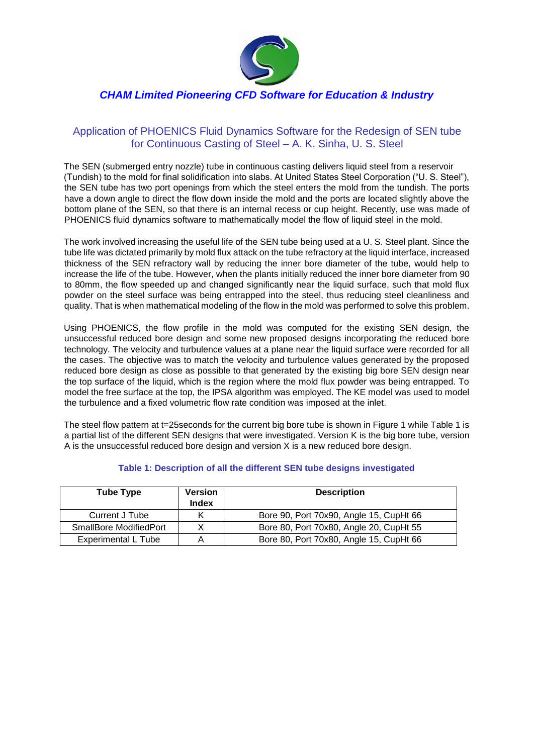

## *CHAM Limited Pioneering CFD Software for Education & Industry*

## Application of PHOENICS Fluid Dynamics Software for the Redesign of SEN tube for Continuous Casting of Steel – A. K. Sinha, U. S. Steel

The SEN (submerged entry nozzle) tube in continuous casting delivers liquid steel from a reservoir (Tundish) to the mold for final solidification into slabs. At United States Steel Corporation ("U. S. Steel"), the SEN tube has two port openings from which the steel enters the mold from the tundish. The ports have a down angle to direct the flow down inside the mold and the ports are located slightly above the bottom plane of the SEN, so that there is an internal recess or cup height. Recently, use was made of PHOENICS fluid dynamics software to mathematically model the flow of liquid steel in the mold.

The work involved increasing the useful life of the SEN tube being used at a U. S. Steel plant. Since the tube life was dictated primarily by mold flux attack on the tube refractory at the liquid interface, increased thickness of the SEN refractory wall by reducing the inner bore diameter of the tube, would help to increase the life of the tube. However, when the plants initially reduced the inner bore diameter from 90 to 80mm, the flow speeded up and changed significantly near the liquid surface, such that mold flux powder on the steel surface was being entrapped into the steel, thus reducing steel cleanliness and quality. That is when mathematical modeling of the flow in the mold was performed to solve this problem.

Using PHOENICS, the flow profile in the mold was computed for the existing SEN design, the unsuccessful reduced bore design and some new proposed designs incorporating the reduced bore technology. The velocity and turbulence values at a plane near the liquid surface were recorded for all the cases. The objective was to match the velocity and turbulence values generated by the proposed reduced bore design as close as possible to that generated by the existing big bore SEN design near the top surface of the liquid, which is the region where the mold flux powder was being entrapped. To model the free surface at the top, the IPSA algorithm was employed. The KE model was used to model the turbulence and a fixed volumetric flow rate condition was imposed at the inlet.

The steel flow pattern at t=25 seconds for the current big bore tube is shown in Figure 1 while Table 1 is a partial list of the different SEN designs that were investigated. Version K is the big bore tube, version A is the unsuccessful reduced bore design and version X is a new reduced bore design.

| <b>Tube Type</b>              | <b>Version</b><br>Index | <b>Description</b>                      |
|-------------------------------|-------------------------|-----------------------------------------|
| Current J Tube                | ĸ                       | Bore 90, Port 70x90, Angle 15, CupHt 66 |
| <b>SmallBore ModifiedPort</b> |                         | Bore 80, Port 70x80, Angle 20, CupHt 55 |
| <b>Experimental L Tube</b>    | Α                       | Bore 80, Port 70x80, Angle 15, CupHt 66 |

## **Table 1: Description of all the different SEN tube designs investigated**